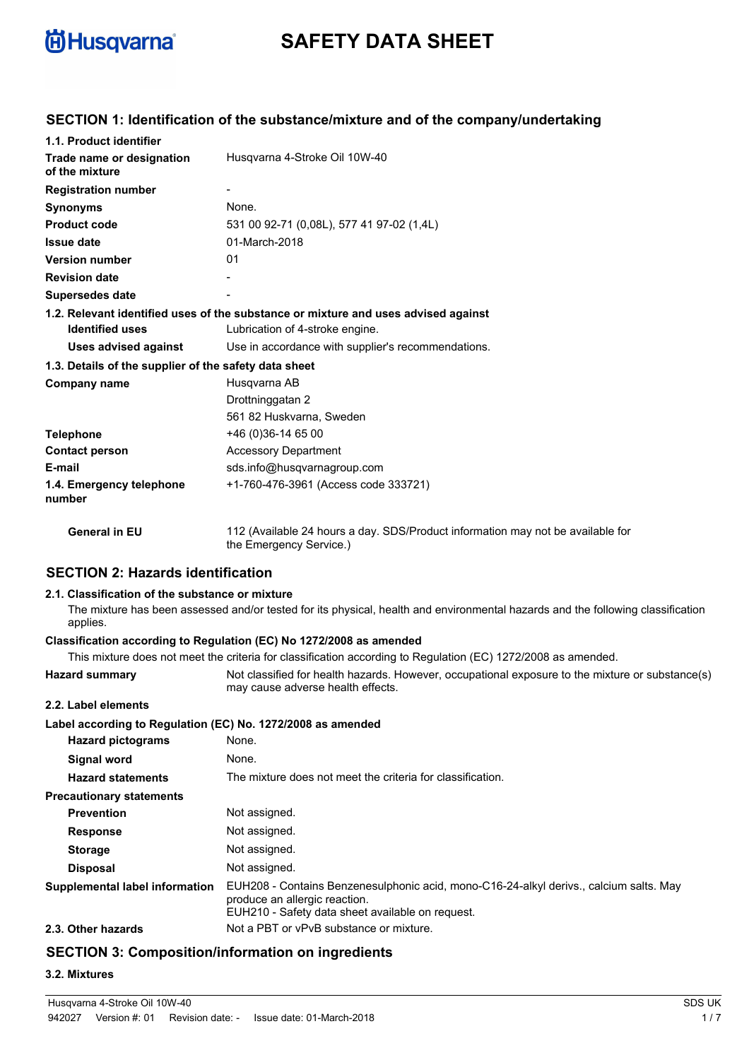

# **SAFETY DATA SHEET**

## **SECTION 1: Identification of the substance/mixture and of the company/undertaking**

| 1.1. Product identifier                               |                                                                                                            |  |  |  |  |  |
|-------------------------------------------------------|------------------------------------------------------------------------------------------------------------|--|--|--|--|--|
| Trade name or designation<br>of the mixture           | Husgvarna 4-Stroke Oil 10W-40                                                                              |  |  |  |  |  |
| <b>Registration number</b>                            |                                                                                                            |  |  |  |  |  |
| <b>Synonyms</b>                                       | None.                                                                                                      |  |  |  |  |  |
| <b>Product code</b>                                   | 531 00 92-71 (0.08L), 577 41 97-02 (1.4L)                                                                  |  |  |  |  |  |
| <b>Issue date</b>                                     | 01-March-2018                                                                                              |  |  |  |  |  |
| <b>Version number</b>                                 | 01                                                                                                         |  |  |  |  |  |
| <b>Revision date</b>                                  |                                                                                                            |  |  |  |  |  |
| <b>Supersedes date</b>                                |                                                                                                            |  |  |  |  |  |
|                                                       | 1.2. Relevant identified uses of the substance or mixture and uses advised against                         |  |  |  |  |  |
| <b>Identified uses</b>                                | Lubrication of 4-stroke engine.                                                                            |  |  |  |  |  |
| <b>Uses advised against</b>                           | Use in accordance with supplier's recommendations.                                                         |  |  |  |  |  |
| 1.3. Details of the supplier of the safety data sheet |                                                                                                            |  |  |  |  |  |
| Company name                                          | Husqvarna AB                                                                                               |  |  |  |  |  |
|                                                       | Drottninggatan 2                                                                                           |  |  |  |  |  |
|                                                       | 561 82 Huskvarna, Sweden                                                                                   |  |  |  |  |  |
| <b>Telephone</b>                                      | +46 (0) 36-14 65 00                                                                                        |  |  |  |  |  |
| <b>Contact person</b>                                 | <b>Accessory Department</b>                                                                                |  |  |  |  |  |
| E-mail                                                | sds.info@husqvarnagroup.com                                                                                |  |  |  |  |  |
| 1.4. Emergency telephone<br>number                    | +1-760-476-3961 (Access code 333721)                                                                       |  |  |  |  |  |
| <b>General in EU</b>                                  | 112 (Available 24 hours a day. SDS/Product information may not be available for<br>the Emergency Service.) |  |  |  |  |  |

## **SECTION 2: Hazards identification**

#### **2.1. Classification of the substance or mixture**

The mixture has been assessed and/or tested for its physical, health and environmental hazards and the following classification applies.

## **Classification according to Regulation (EC) No 1272/2008 as amended**

|                                                             | This mixture does not meet the criteria for classification according to Regulation (EC) 1272/2008 as amended.                                                               |  |  |
|-------------------------------------------------------------|-----------------------------------------------------------------------------------------------------------------------------------------------------------------------------|--|--|
| <b>Hazard summary</b>                                       | Not classified for health hazards. However, occupational exposure to the mixture or substance(s)<br>may cause adverse health effects.                                       |  |  |
| 2.2. Label elements                                         |                                                                                                                                                                             |  |  |
| Label according to Regulation (EC) No. 1272/2008 as amended |                                                                                                                                                                             |  |  |
| <b>Hazard pictograms</b>                                    | None.                                                                                                                                                                       |  |  |
| <b>Signal word</b>                                          | None.                                                                                                                                                                       |  |  |
| <b>Hazard statements</b>                                    | The mixture does not meet the criteria for classification.                                                                                                                  |  |  |
| <b>Precautionary statements</b>                             |                                                                                                                                                                             |  |  |
| <b>Prevention</b>                                           | Not assigned.                                                                                                                                                               |  |  |
| <b>Response</b>                                             | Not assigned.                                                                                                                                                               |  |  |
| <b>Storage</b>                                              | Not assigned.                                                                                                                                                               |  |  |
| <b>Disposal</b>                                             | Not assigned.                                                                                                                                                               |  |  |
| Supplemental label information                              | EUH208 - Contains Benzenesulphonic acid, mono-C16-24-alkyl derivs., calcium salts. May<br>produce an allergic reaction.<br>EUH210 - Safety data sheet available on request. |  |  |
| 2.3. Other hazards                                          | Not a PBT or vPvB substance or mixture.                                                                                                                                     |  |  |
|                                                             |                                                                                                                                                                             |  |  |

## **SECTION 3: Composition/information on ingredients**

## **3.2. Mixtures**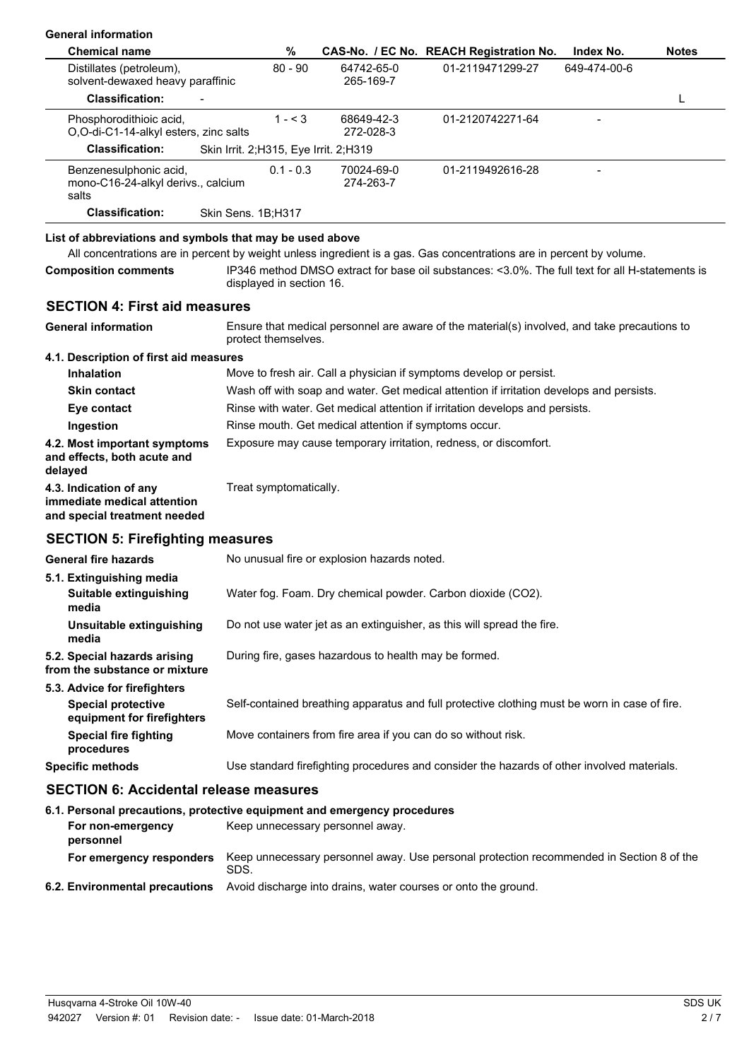| <b>General information</b>                                                                                                                                                                                      |                                                                          |                                                                        |                                             |  |                                                                                                 |              |              |
|-----------------------------------------------------------------------------------------------------------------------------------------------------------------------------------------------------------------|--------------------------------------------------------------------------|------------------------------------------------------------------------|---------------------------------------------|--|-------------------------------------------------------------------------------------------------|--------------|--------------|
| <b>Chemical name</b>                                                                                                                                                                                            |                                                                          | %                                                                      |                                             |  | CAS-No. / EC No. REACH Registration No.                                                         | Index No.    | <b>Notes</b> |
| Distillates (petroleum),<br>solvent-dewaxed heavy paraffinic                                                                                                                                                    |                                                                          | $80 - 90$                                                              | 64742-65-0<br>265-169-7                     |  | 01-2119471299-27                                                                                | 649-474-00-6 |              |
| <b>Classification:</b>                                                                                                                                                                                          |                                                                          |                                                                        |                                             |  |                                                                                                 |              | L            |
| Phosphorodithioic acid,<br>O,O-di-C1-14-alkyl esters, zinc salts                                                                                                                                                |                                                                          | $1 - 3$                                                                | 68649-42-3<br>272-028-3                     |  | 01-2120742271-64                                                                                |              |              |
| <b>Classification:</b>                                                                                                                                                                                          | Skin Irrit. 2;H315, Eye Irrit. 2;H319                                    |                                                                        |                                             |  |                                                                                                 |              |              |
| Benzenesulphonic acid,<br>mono-C16-24-alkyl derivs., calcium<br>salts                                                                                                                                           |                                                                          | $0.1 - 0.3$                                                            | 70024-69-0<br>274-263-7                     |  | 01-2119492616-28                                                                                |              |              |
| <b>Classification:</b>                                                                                                                                                                                          | Skin Sens. 1B;H317                                                       |                                                                        |                                             |  |                                                                                                 |              |              |
| List of abbreviations and symbols that may be used above<br>All concentrations are in percent by weight unless ingredient is a gas. Gas concentrations are in percent by volume.<br><b>Composition comments</b> | displayed in section 16.                                                 |                                                                        |                                             |  | IP346 method DMSO extract for base oil substances: <3.0%. The full text for all H-statements is |              |              |
| <b>SECTION 4: First aid measures</b>                                                                                                                                                                            |                                                                          |                                                                        |                                             |  |                                                                                                 |              |              |
| <b>General information</b>                                                                                                                                                                                      | protect themselves.                                                      |                                                                        |                                             |  | Ensure that medical personnel are aware of the material(s) involved, and take precautions to    |              |              |
| 4.1. Description of first aid measures                                                                                                                                                                          |                                                                          |                                                                        |                                             |  |                                                                                                 |              |              |
| <b>Inhalation</b>                                                                                                                                                                                               |                                                                          |                                                                        |                                             |  | Move to fresh air. Call a physician if symptoms develop or persist.                             |              |              |
| <b>Skin contact</b>                                                                                                                                                                                             |                                                                          |                                                                        |                                             |  | Wash off with soap and water. Get medical attention if irritation develops and persists.        |              |              |
| Eye contact                                                                                                                                                                                                     |                                                                          |                                                                        |                                             |  | Rinse with water. Get medical attention if irritation develops and persists.                    |              |              |
| Ingestion                                                                                                                                                                                                       |                                                                          | Rinse mouth. Get medical attention if symptoms occur.                  |                                             |  |                                                                                                 |              |              |
| 4.2. Most important symptoms<br>and effects, both acute and<br>delayed                                                                                                                                          |                                                                          | Exposure may cause temporary irritation, redness, or discomfort.       |                                             |  |                                                                                                 |              |              |
| 4.3. Indication of any<br>immediate medical attention<br>and special treatment needed                                                                                                                           |                                                                          | Treat symptomatically.                                                 |                                             |  |                                                                                                 |              |              |
| <b>SECTION 5: Firefighting measures</b>                                                                                                                                                                         |                                                                          |                                                                        |                                             |  |                                                                                                 |              |              |
| <b>General fire hazards</b>                                                                                                                                                                                     |                                                                          |                                                                        | No unusual fire or explosion hazards noted. |  |                                                                                                 |              |              |
| 5.1. Extinguishing media<br>Suitable extinguishing<br>media                                                                                                                                                     |                                                                          | Water fog. Foam. Dry chemical powder. Carbon dioxide (CO2).            |                                             |  |                                                                                                 |              |              |
| Unsuitable extinguishing<br>media                                                                                                                                                                               |                                                                          | Do not use water jet as an extinguisher, as this will spread the fire. |                                             |  |                                                                                                 |              |              |
| 5.2. Special hazards arising<br>from the substance or mixture                                                                                                                                                   |                                                                          |                                                                        |                                             |  | During fire, gases hazardous to health may be formed.                                           |              |              |
| 5.3. Advice for firefighters<br><b>Special protective</b>                                                                                                                                                       |                                                                          |                                                                        |                                             |  | Self-contained breathing apparatus and full protective clothing must be worn in case of fire.   |              |              |
| equipment for firefighters                                                                                                                                                                                      |                                                                          |                                                                        |                                             |  |                                                                                                 |              |              |
| <b>Special fire fighting</b><br>procedures                                                                                                                                                                      |                                                                          |                                                                        |                                             |  | Move containers from fire area if you can do so without risk.                                   |              |              |
| <b>Specific methods</b>                                                                                                                                                                                         |                                                                          |                                                                        |                                             |  | Use standard firefighting procedures and consider the hazards of other involved materials.      |              |              |
| <b>SECTION 6: Accidental release measures</b>                                                                                                                                                                   |                                                                          |                                                                        |                                             |  |                                                                                                 |              |              |
|                                                                                                                                                                                                                 | 6.1. Personal precautions, protective equipment and emergency procedures |                                                                        |                                             |  |                                                                                                 |              |              |
| For non-emergency<br>nersonnel                                                                                                                                                                                  |                                                                          |                                                                        | Keep unnecessary personnel away.            |  |                                                                                                 |              |              |

| <u>DEI SUITIEL</u>       |                                                                                                  |
|--------------------------|--------------------------------------------------------------------------------------------------|
| For emergency responders | Keep unnecessary personnel away. Use personal protection recommended in Section 8 of the<br>SDS. |
|                          | 6.2. Environmental precautions Avoid discharge into drains, water courses or onto the ground.    |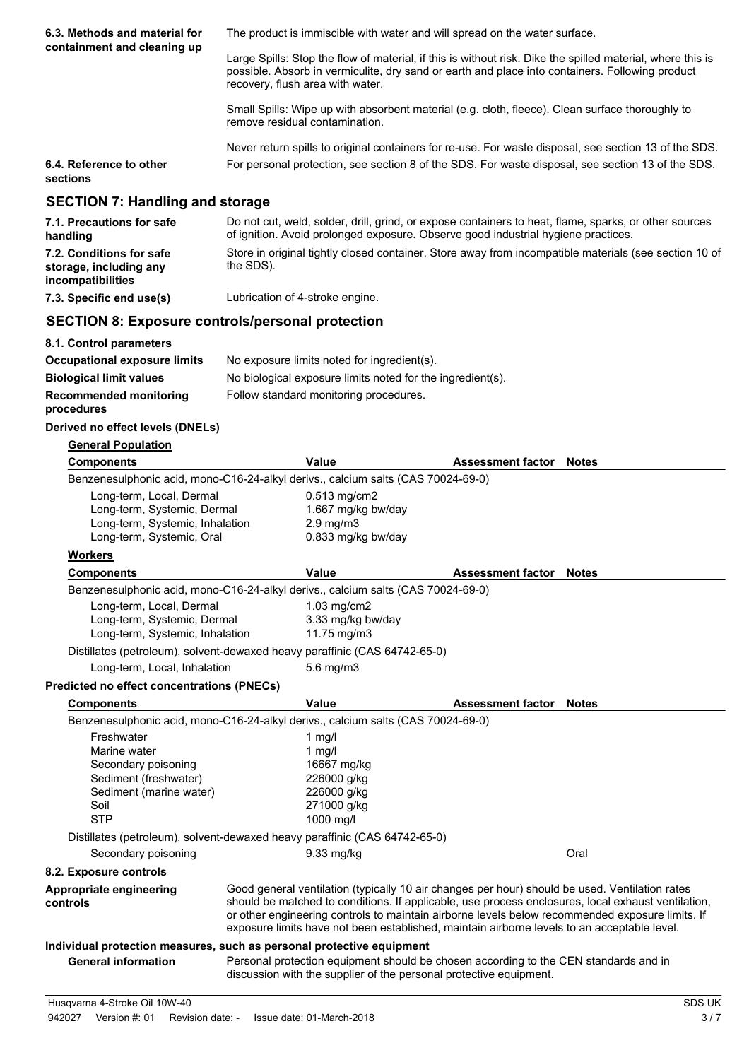| 6.3. Methods and material for                                                                                               | The product is immiscible with water and will spread on the water surface.                                                                                                                                                                        |                                                                                               |                                                                                                                                                                                               |                                                                                                                                                                                                       |  |  |
|-----------------------------------------------------------------------------------------------------------------------------|---------------------------------------------------------------------------------------------------------------------------------------------------------------------------------------------------------------------------------------------------|-----------------------------------------------------------------------------------------------|-----------------------------------------------------------------------------------------------------------------------------------------------------------------------------------------------|-------------------------------------------------------------------------------------------------------------------------------------------------------------------------------------------------------|--|--|
| containment and cleaning up                                                                                                 | Large Spills: Stop the flow of material, if this is without risk. Dike the spilled material, where this is<br>possible. Absorb in vermiculite, dry sand or earth and place into containers. Following product<br>recovery, flush area with water. |                                                                                               |                                                                                                                                                                                               |                                                                                                                                                                                                       |  |  |
|                                                                                                                             | Small Spills: Wipe up with absorbent material (e.g. cloth, fleece). Clean surface thoroughly to<br>remove residual contamination.                                                                                                                 |                                                                                               |                                                                                                                                                                                               |                                                                                                                                                                                                       |  |  |
|                                                                                                                             |                                                                                                                                                                                                                                                   |                                                                                               |                                                                                                                                                                                               | Never return spills to original containers for re-use. For waste disposal, see section 13 of the SDS.                                                                                                 |  |  |
| 6.4. Reference to other<br>sections                                                                                         | For personal protection, see section 8 of the SDS. For waste disposal, see section 13 of the SDS.                                                                                                                                                 |                                                                                               |                                                                                                                                                                                               |                                                                                                                                                                                                       |  |  |
| <b>SECTION 7: Handling and storage</b>                                                                                      |                                                                                                                                                                                                                                                   |                                                                                               |                                                                                                                                                                                               |                                                                                                                                                                                                       |  |  |
| 7.1. Precautions for safe<br>handling                                                                                       |                                                                                                                                                                                                                                                   |                                                                                               | of ignition. Avoid prolonged exposure. Observe good industrial hygiene practices.                                                                                                             | Do not cut, weld, solder, drill, grind, or expose containers to heat, flame, sparks, or other sources                                                                                                 |  |  |
| 7.2. Conditions for safe<br>storage, including any<br>incompatibilities                                                     | the SDS).                                                                                                                                                                                                                                         |                                                                                               |                                                                                                                                                                                               | Store in original tightly closed container. Store away from incompatible materials (see section 10 of                                                                                                 |  |  |
| 7.3. Specific end use(s)                                                                                                    | Lubrication of 4-stroke engine.                                                                                                                                                                                                                   |                                                                                               |                                                                                                                                                                                               |                                                                                                                                                                                                       |  |  |
| <b>SECTION 8: Exposure controls/personal protection</b>                                                                     |                                                                                                                                                                                                                                                   |                                                                                               |                                                                                                                                                                                               |                                                                                                                                                                                                       |  |  |
| 8.1. Control parameters                                                                                                     |                                                                                                                                                                                                                                                   |                                                                                               |                                                                                                                                                                                               |                                                                                                                                                                                                       |  |  |
| <b>Occupational exposure limits</b>                                                                                         |                                                                                                                                                                                                                                                   | No exposure limits noted for ingredient(s).                                                   |                                                                                                                                                                                               |                                                                                                                                                                                                       |  |  |
| <b>Biological limit values</b>                                                                                              |                                                                                                                                                                                                                                                   | No biological exposure limits noted for the ingredient(s).                                    |                                                                                                                                                                                               |                                                                                                                                                                                                       |  |  |
| <b>Recommended monitoring</b><br>procedures                                                                                 |                                                                                                                                                                                                                                                   | Follow standard monitoring procedures.                                                        |                                                                                                                                                                                               |                                                                                                                                                                                                       |  |  |
| Derived no effect levels (DNELs)                                                                                            |                                                                                                                                                                                                                                                   |                                                                                               |                                                                                                                                                                                               |                                                                                                                                                                                                       |  |  |
| <b>General Population</b>                                                                                                   |                                                                                                                                                                                                                                                   |                                                                                               |                                                                                                                                                                                               |                                                                                                                                                                                                       |  |  |
| <b>Components</b>                                                                                                           |                                                                                                                                                                                                                                                   | <b>Value</b>                                                                                  | <b>Assessment factor</b>                                                                                                                                                                      | <b>Notes</b>                                                                                                                                                                                          |  |  |
| Benzenesulphonic acid, mono-C16-24-alkyl derivs., calcium salts (CAS 70024-69-0)                                            |                                                                                                                                                                                                                                                   |                                                                                               |                                                                                                                                                                                               |                                                                                                                                                                                                       |  |  |
| Long-term, Local, Dermal<br>Long-term, Systemic, Dermal<br>Long-term, Systemic, Inhalation<br>Long-term, Systemic, Oral     | $0.513$ mg/cm2<br>1.667 mg/kg bw/day<br>$2.9 \text{ mg/m}$<br>0.833 mg/kg bw/day                                                                                                                                                                  |                                                                                               |                                                                                                                                                                                               |                                                                                                                                                                                                       |  |  |
| <u>Workers</u>                                                                                                              |                                                                                                                                                                                                                                                   |                                                                                               |                                                                                                                                                                                               |                                                                                                                                                                                                       |  |  |
| <b>Components</b>                                                                                                           |                                                                                                                                                                                                                                                   | <b>Value</b>                                                                                  | <b>Assessment factor</b>                                                                                                                                                                      | <b>Notes</b>                                                                                                                                                                                          |  |  |
| Benzenesulphonic acid, mono-C16-24-alkyl derivs., calcium salts (CAS 70024-69-0)                                            |                                                                                                                                                                                                                                                   |                                                                                               |                                                                                                                                                                                               |                                                                                                                                                                                                       |  |  |
| Long-term, Local, Dermal<br>Long-term, Systemic, Dermal<br>Long-term, Systemic, Inhalation                                  |                                                                                                                                                                                                                                                   | $1.03$ mg/cm2<br>3.33 mg/kg bw/day<br>11.75 mg/m3                                             |                                                                                                                                                                                               |                                                                                                                                                                                                       |  |  |
| Distillates (petroleum), solvent-dewaxed heavy paraffinic (CAS 64742-65-0)                                                  |                                                                                                                                                                                                                                                   |                                                                                               |                                                                                                                                                                                               |                                                                                                                                                                                                       |  |  |
| Long-term, Local, Inhalation                                                                                                |                                                                                                                                                                                                                                                   | 5.6 mg/m3                                                                                     |                                                                                                                                                                                               |                                                                                                                                                                                                       |  |  |
| <b>Predicted no effect concentrations (PNECs)</b>                                                                           |                                                                                                                                                                                                                                                   |                                                                                               |                                                                                                                                                                                               |                                                                                                                                                                                                       |  |  |
| <b>Components</b>                                                                                                           |                                                                                                                                                                                                                                                   | Value                                                                                         | <b>Assessment factor Notes</b>                                                                                                                                                                |                                                                                                                                                                                                       |  |  |
| Benzenesulphonic acid, mono-C16-24-alkyl derivs., calcium salts (CAS 70024-69-0)                                            |                                                                                                                                                                                                                                                   |                                                                                               |                                                                                                                                                                                               |                                                                                                                                                                                                       |  |  |
| Freshwater<br>Marine water<br>Secondary poisoning<br>Sediment (freshwater)<br>Sediment (marine water)<br>Soil<br><b>STP</b> |                                                                                                                                                                                                                                                   | $1$ mg/l<br>$1$ mg/l<br>16667 mg/kg<br>226000 g/kg<br>226000 g/kg<br>271000 g/kg<br>1000 mg/l |                                                                                                                                                                                               |                                                                                                                                                                                                       |  |  |
| Distillates (petroleum), solvent-dewaxed heavy paraffinic (CAS 64742-65-0)                                                  |                                                                                                                                                                                                                                                   |                                                                                               |                                                                                                                                                                                               |                                                                                                                                                                                                       |  |  |
| Secondary poisoning                                                                                                         |                                                                                                                                                                                                                                                   | 9.33 mg/kg                                                                                    |                                                                                                                                                                                               | Oral                                                                                                                                                                                                  |  |  |
| 8.2. Exposure controls                                                                                                      |                                                                                                                                                                                                                                                   |                                                                                               |                                                                                                                                                                                               |                                                                                                                                                                                                       |  |  |
| Appropriate engineering<br>controls                                                                                         |                                                                                                                                                                                                                                                   |                                                                                               | Good general ventilation (typically 10 air changes per hour) should be used. Ventilation rates<br>exposure limits have not been established, maintain airborne levels to an acceptable level. | should be matched to conditions. If applicable, use process enclosures, local exhaust ventilation,<br>or other engineering controls to maintain airborne levels below recommended exposure limits. If |  |  |
| Individual protection measures, such as personal protective equipment<br><b>General information</b>                         |                                                                                                                                                                                                                                                   |                                                                                               | Personal protection equipment should be chosen according to the CEN standards and in<br>discussion with the supplier of the personal protective equipment.                                    |                                                                                                                                                                                                       |  |  |
| Husqvarna 4-Stroke Oil 10W-40                                                                                               |                                                                                                                                                                                                                                                   |                                                                                               |                                                                                                                                                                                               | SDS UK                                                                                                                                                                                                |  |  |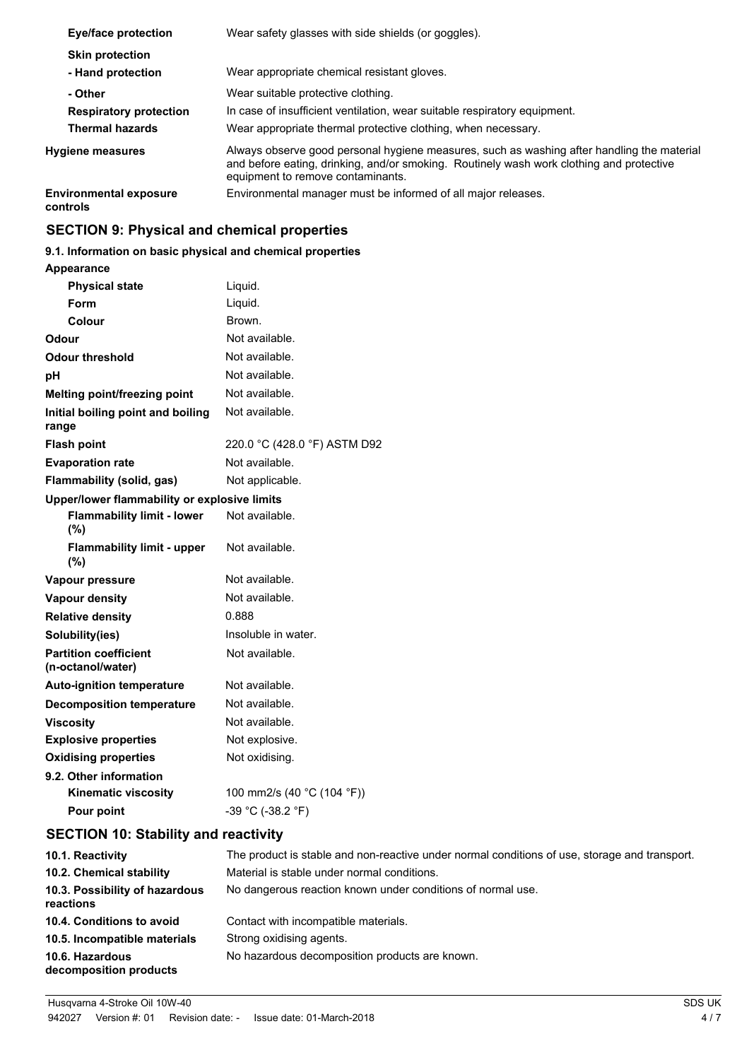| Eye/face protection                                                | Wear safety glasses with side shields (or goggles).                                                                                                                                                                         |  |  |
|--------------------------------------------------------------------|-----------------------------------------------------------------------------------------------------------------------------------------------------------------------------------------------------------------------------|--|--|
| <b>Skin protection</b><br>- Hand protection                        | Wear appropriate chemical resistant gloves.                                                                                                                                                                                 |  |  |
| - Other<br><b>Respiratory protection</b><br><b>Thermal hazards</b> | Wear suitable protective clothing.<br>In case of insufficient ventilation, wear suitable respiratory equipment.<br>Wear appropriate thermal protective clothing, when necessary.                                            |  |  |
| <b>Hygiene measures</b>                                            | Always observe good personal hygiene measures, such as washing after handling the material<br>and before eating, drinking, and/or smoking. Routinely wash work clothing and protective<br>equipment to remove contaminants. |  |  |
| <b>Environmental exposure</b><br>controls                          | Environmental manager must be informed of all major releases.                                                                                                                                                               |  |  |

## **SECTION 9: Physical and chemical properties**

## **9.1. Information on basic physical and chemical properties**

| <b>Appearance</b> |  |
|-------------------|--|
|                   |  |

| <b>Physical state</b>                             | Liquid.                      |
|---------------------------------------------------|------------------------------|
| Form                                              | Liquid.                      |
| Colour                                            | Brown.                       |
| Odour                                             | Not available.               |
| <b>Odour threshold</b>                            | Not available.               |
| рH                                                | Not available.               |
| <b>Melting point/freezing point</b>               | Not available.               |
| Initial boiling point and boiling<br>range        | Not available.               |
| <b>Flash point</b>                                | 220.0 °C (428.0 °F) ASTM D92 |
| <b>Evaporation rate</b>                           | Not available.               |
| Flammability (solid, gas)                         | Not applicable.              |
| Upper/lower flammability or explosive limits      |                              |
| <b>Flammability limit - lower</b><br>(%)          | Not available.               |
| <b>Flammability limit - upper</b><br>$(\% )$      | Not available.               |
| Vapour pressure                                   | Not available.               |
| <b>Vapour density</b>                             | Not available.               |
| <b>Relative density</b>                           | 0.888                        |
| Solubility(ies)                                   | Insoluble in water.          |
| <b>Partition coefficient</b><br>(n-octanol/water) | Not available.               |
| <b>Auto-ignition temperature</b>                  | Not available.               |
| <b>Decomposition temperature</b>                  | Not available.               |
| <b>Viscosity</b>                                  | Not available.               |
| <b>Explosive properties</b>                       | Not explosive.               |
| <b>Oxidising properties</b>                       | Not oxidising.               |
| 9.2. Other information                            |                              |
| <b>Kinematic viscosity</b>                        | 100 mm2/s (40 °C (104 °F))   |
| Pour point                                        | -39 °C (-38.2 °F)            |
| <b>SECTION 10: Stability and reactivity</b>       |                              |

| 10.1. Reactivity                            | The product is stable and non-reactive under normal conditions of use, storage and transport. |
|---------------------------------------------|-----------------------------------------------------------------------------------------------|
| 10.2. Chemical stability                    | Material is stable under normal conditions.                                                   |
| 10.3. Possibility of hazardous<br>reactions | No dangerous reaction known under conditions of normal use.                                   |
| 10.4. Conditions to avoid                   | Contact with incompatible materials.                                                          |
| 10.5. Incompatible materials                | Strong oxidising agents.                                                                      |
| 10.6. Hazardous<br>decomposition products   | No hazardous decomposition products are known.                                                |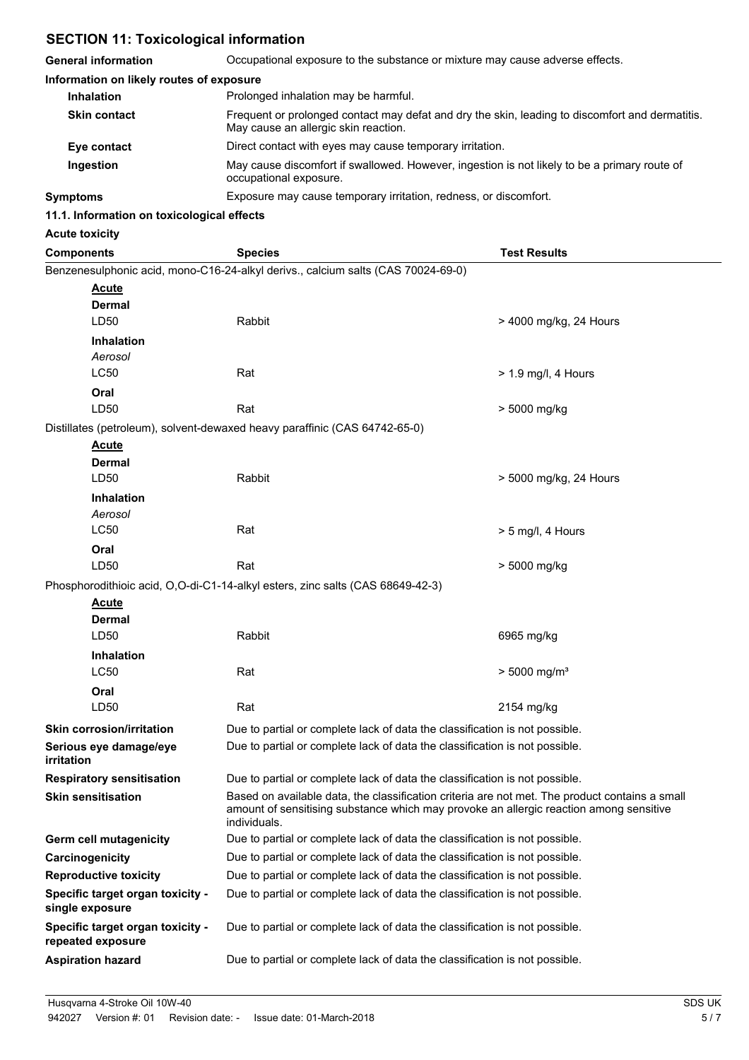## **SECTION 11: Toxicological information**

| <b>General information</b>                            | Occupational exposure to the substance or mixture may cause adverse effects.                                                                                                                             |                            |  |  |
|-------------------------------------------------------|----------------------------------------------------------------------------------------------------------------------------------------------------------------------------------------------------------|----------------------------|--|--|
| Information on likely routes of exposure              |                                                                                                                                                                                                          |                            |  |  |
| <b>Inhalation</b>                                     | Prolonged inhalation may be harmful.                                                                                                                                                                     |                            |  |  |
| <b>Skin contact</b>                                   | Frequent or prolonged contact may defat and dry the skin, leading to discomfort and dermatitis.<br>May cause an allergic skin reaction.                                                                  |                            |  |  |
| Eye contact                                           | Direct contact with eyes may cause temporary irritation.                                                                                                                                                 |                            |  |  |
| Ingestion                                             | May cause discomfort if swallowed. However, ingestion is not likely to be a primary route of<br>occupational exposure.                                                                                   |                            |  |  |
| <b>Symptoms</b>                                       | Exposure may cause temporary irritation, redness, or discomfort.                                                                                                                                         |                            |  |  |
| 11.1. Information on toxicological effects            |                                                                                                                                                                                                          |                            |  |  |
| <b>Acute toxicity</b>                                 |                                                                                                                                                                                                          |                            |  |  |
| <b>Components</b>                                     | <b>Species</b>                                                                                                                                                                                           | <b>Test Results</b>        |  |  |
|                                                       | Benzenesulphonic acid, mono-C16-24-alkyl derivs., calcium salts (CAS 70024-69-0)                                                                                                                         |                            |  |  |
| <b>Acute</b><br>Dermal<br>LD50                        | Rabbit                                                                                                                                                                                                   | > 4000 mg/kg, 24 Hours     |  |  |
| <b>Inhalation</b><br>Aerosol                          |                                                                                                                                                                                                          |                            |  |  |
| <b>LC50</b><br>Oral                                   | Rat                                                                                                                                                                                                      | $> 1.9$ mg/l, 4 Hours      |  |  |
| LD50                                                  | Rat                                                                                                                                                                                                      | > 5000 mg/kg               |  |  |
|                                                       | Distillates (petroleum), solvent-dewaxed heavy paraffinic (CAS 64742-65-0)                                                                                                                               |                            |  |  |
| <b>Acute</b><br><b>Dermal</b><br>LD50                 | Rabbit                                                                                                                                                                                                   | > 5000 mg/kg, 24 Hours     |  |  |
| <b>Inhalation</b>                                     |                                                                                                                                                                                                          |                            |  |  |
| Aerosol                                               |                                                                                                                                                                                                          |                            |  |  |
| <b>LC50</b>                                           | Rat                                                                                                                                                                                                      | $> 5$ mg/l, 4 Hours        |  |  |
| Oral                                                  |                                                                                                                                                                                                          |                            |  |  |
| LD50                                                  | Rat                                                                                                                                                                                                      | > 5000 mg/kg               |  |  |
| Acute                                                 | Phosphorodithioic acid, O,O-di-C1-14-alkyl esters, zinc salts (CAS 68649-42-3)                                                                                                                           |                            |  |  |
| <b>Dermal</b>                                         |                                                                                                                                                                                                          |                            |  |  |
| LD50                                                  | Rabbit                                                                                                                                                                                                   | 6965 mg/kg                 |  |  |
| <b>Inhalation</b>                                     |                                                                                                                                                                                                          |                            |  |  |
| <b>LC50</b>                                           | Rat                                                                                                                                                                                                      | $> 5000$ mg/m <sup>3</sup> |  |  |
| Oral                                                  |                                                                                                                                                                                                          |                            |  |  |
| LD50                                                  | Rat                                                                                                                                                                                                      | 2154 mg/kg                 |  |  |
| <b>Skin corrosion/irritation</b>                      | Due to partial or complete lack of data the classification is not possible.                                                                                                                              |                            |  |  |
| Serious eye damage/eye<br>irritation                  | Due to partial or complete lack of data the classification is not possible.                                                                                                                              |                            |  |  |
| <b>Respiratory sensitisation</b>                      | Due to partial or complete lack of data the classification is not possible.                                                                                                                              |                            |  |  |
| <b>Skin sensitisation</b>                             | Based on available data, the classification criteria are not met. The product contains a small<br>amount of sensitising substance which may provoke an allergic reaction among sensitive<br>individuals. |                            |  |  |
| Germ cell mutagenicity                                | Due to partial or complete lack of data the classification is not possible.                                                                                                                              |                            |  |  |
| Carcinogenicity                                       | Due to partial or complete lack of data the classification is not possible.                                                                                                                              |                            |  |  |
| <b>Reproductive toxicity</b>                          | Due to partial or complete lack of data the classification is not possible.                                                                                                                              |                            |  |  |
| Specific target organ toxicity -<br>single exposure   | Due to partial or complete lack of data the classification is not possible.                                                                                                                              |                            |  |  |
| Specific target organ toxicity -<br>repeated exposure | Due to partial or complete lack of data the classification is not possible.                                                                                                                              |                            |  |  |
| <b>Aspiration hazard</b>                              | Due to partial or complete lack of data the classification is not possible.                                                                                                                              |                            |  |  |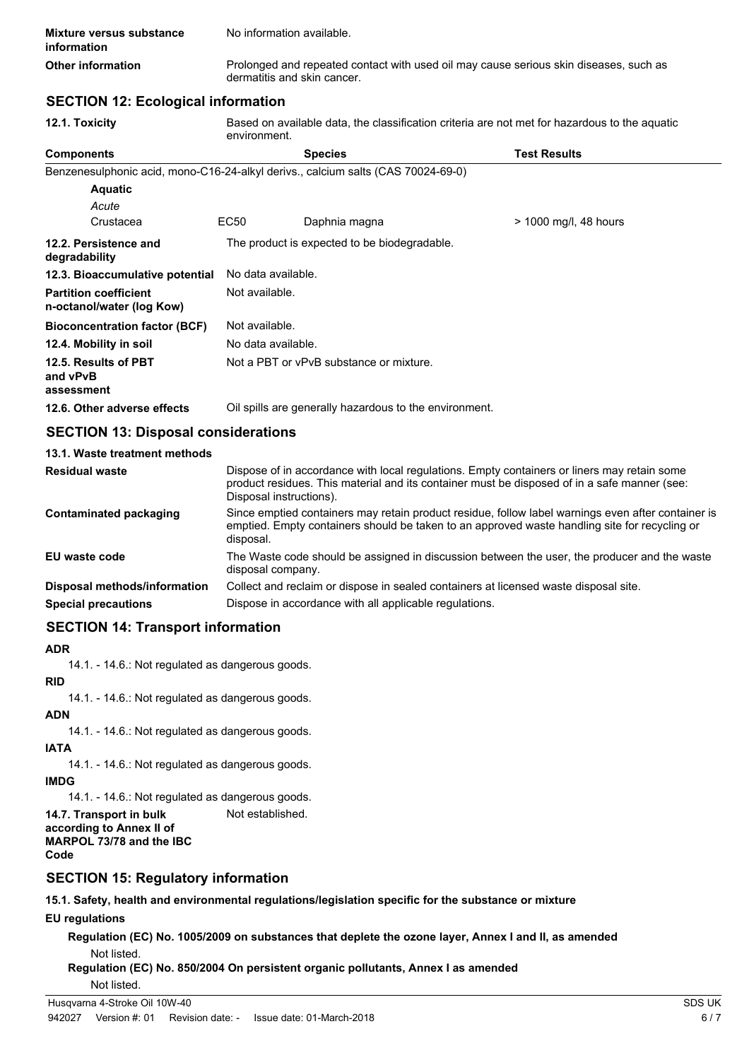| <b>Mixture versus substance</b><br>information | No information available.                                                                                            |
|------------------------------------------------|----------------------------------------------------------------------------------------------------------------------|
| Other information                              | Prolonged and repeated contact with used oil may cause serious skin diseases, such as<br>dermatitis and skin cancer. |

## **SECTION 12: Ecological information**

| 12.1. Toxicity                                            | Based on available data, the classification criteria are not met for hazardous to the aquatic<br>environment.                                                                                                          |                                                                                                                                                                                                     |                       |  |  |  |
|-----------------------------------------------------------|------------------------------------------------------------------------------------------------------------------------------------------------------------------------------------------------------------------------|-----------------------------------------------------------------------------------------------------------------------------------------------------------------------------------------------------|-----------------------|--|--|--|
| <b>Components</b>                                         |                                                                                                                                                                                                                        | <b>Species</b>                                                                                                                                                                                      | <b>Test Results</b>   |  |  |  |
|                                                           |                                                                                                                                                                                                                        | Benzenesulphonic acid, mono-C16-24-alkyl derivs., calcium salts (CAS 70024-69-0)                                                                                                                    |                       |  |  |  |
| <b>Aquatic</b>                                            |                                                                                                                                                                                                                        |                                                                                                                                                                                                     |                       |  |  |  |
| Acute                                                     |                                                                                                                                                                                                                        |                                                                                                                                                                                                     |                       |  |  |  |
| Crustacea                                                 | EC50                                                                                                                                                                                                                   | Daphnia magna                                                                                                                                                                                       | > 1000 mg/l, 48 hours |  |  |  |
| 12.2. Persistence and<br>degradability                    |                                                                                                                                                                                                                        | The product is expected to be biodegradable.                                                                                                                                                        |                       |  |  |  |
| 12.3. Bioaccumulative potential                           | No data available.                                                                                                                                                                                                     |                                                                                                                                                                                                     |                       |  |  |  |
| <b>Partition coefficient</b><br>n-octanol/water (log Kow) |                                                                                                                                                                                                                        | Not available.                                                                                                                                                                                      |                       |  |  |  |
| <b>Bioconcentration factor (BCF)</b>                      |                                                                                                                                                                                                                        | Not available.                                                                                                                                                                                      |                       |  |  |  |
| 12.4. Mobility in soil                                    |                                                                                                                                                                                                                        | No data available.                                                                                                                                                                                  |                       |  |  |  |
| 12.5. Results of PBT<br>and vPvB<br>assessment            |                                                                                                                                                                                                                        | Not a PBT or vPvB substance or mixture.                                                                                                                                                             |                       |  |  |  |
| 12.6. Other adverse effects                               |                                                                                                                                                                                                                        | Oil spills are generally hazardous to the environment.                                                                                                                                              |                       |  |  |  |
| <b>SECTION 13: Disposal considerations</b>                |                                                                                                                                                                                                                        |                                                                                                                                                                                                     |                       |  |  |  |
| 13.1. Waste treatment methods                             |                                                                                                                                                                                                                        |                                                                                                                                                                                                     |                       |  |  |  |
| <b>Residual waste</b>                                     | Dispose of in accordance with local regulations. Empty containers or liners may retain some<br>product residues. This material and its container must be disposed of in a safe manner (see:<br>Disposal instructions). |                                                                                                                                                                                                     |                       |  |  |  |
| <b>Contaminated packaging</b>                             | disposal.                                                                                                                                                                                                              | Since emptied containers may retain product residue, follow label warnings even after container is<br>emptied. Empty containers should be taken to an approved waste handling site for recycling or |                       |  |  |  |
| <b>EU</b> waste code                                      | The Waste code should be assigned in discussion between the user, the producer and the waste<br>disposal company.                                                                                                      |                                                                                                                                                                                                     |                       |  |  |  |

| <b>Disposal methods/information</b> |  |  |  |  | Collect and reclaim or dispose in sealed containers at licensed waste disposal site. |
|-------------------------------------|--|--|--|--|--------------------------------------------------------------------------------------|
| .                                   |  |  |  |  |                                                                                      |

## **Special precautions Dispose in accordance with all applicable regulations.**

## **SECTION 14: Transport information**

#### **ADR**

14.1. - 14.6.: Not regulated as dangerous goods.

## **RID**

14.1. - 14.6.: Not regulated as dangerous goods.

## **ADN**

14.1. - 14.6.: Not regulated as dangerous goods.

#### **IATA**

14.1. - 14.6.: Not regulated as dangerous goods.

## **IMDG**

14.1. - 14.6.: Not regulated as dangerous goods.

**14.7. Transport in bulk** Not established. **according to Annex II of MARPOL 73/78 and the IBC**

## **Code**

## **SECTION 15: Regulatory information**

#### **15.1. Safety, health and environmental regulations/legislation specific for the substance or mixture**

## **EU regulations**

**Regulation (EC) No. 1005/2009 on substances that deplete the ozone layer, Annex I and II, as amended** Not listed.

```
Regulation (EC) No. 850/2004 On persistent organic pollutants, Annex I as amended
```

```
Not listed.
```